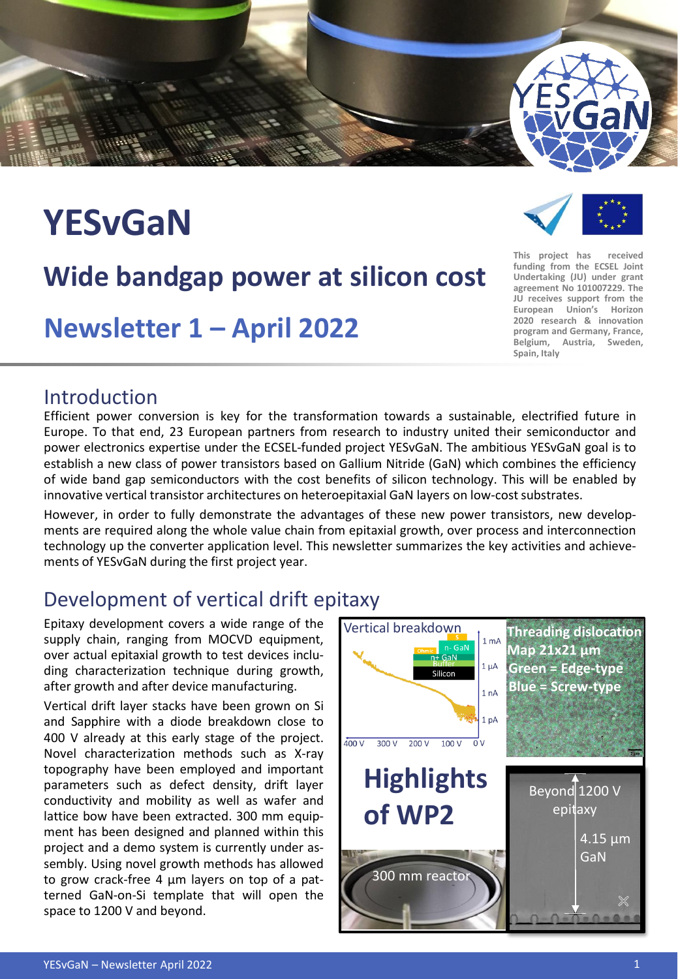

# **YESvGaN**

### **Wide bandgap power at silicon cost**

**Newsletter 1 – April 2022**

#### **This project has received funding from the ECSEL Joint Undertaking (JU) under grant agreement No 101007229. The JU receives support from the European Union's Horizon 2020 research & innovation program and Germany, France,**

**Belgium, Austria, Sweden,**

**Spain, Italy**

Introduction

Efficient power conversion is key for the transformation towards a sustainable, electrified future in Europe. To that end, 23 European partners from research to industry united their semiconductor and power electronics expertise under the ECSEL-funded project YESvGaN. The ambitious YESvGaN goal is to establish a new class of power transistors based on Gallium Nitride (GaN) which combines the efficiency of wide band gap semiconductors with the cost benefits of silicon technology. This will be enabled by innovative vertical transistor architectures on heteroepitaxial GaN layers on low-cost substrates.

However, in order to fully demonstrate the advantages of these new power transistors, new developments are required along the whole value chain from epitaxial growth, over process and interconnection technology up the converter application level. This newsletter summarizes the key activities and achievements of YESvGaN during the first project year.

#### Development of vertical drift epitaxy

Epitaxy development covers a wide range of the supply chain, ranging from MOCVD equipment, over actual epitaxial growth to test devices including characterization technique during growth, after growth and after device manufacturing.

Vertical drift layer stacks have been grown on Si and Sapphire with a diode breakdown close to 400 V already at this early stage of the project. Novel characterization methods such as X-ray topography have been employed and important parameters such as defect density, drift layer conductivity and mobility as well as wafer and lattice bow have been extracted. 300 mm equipment has been designed and planned within this project and a demo system is currently under assembly. Using novel growth methods has allowed to grow crack-free 4 μm layers on top of a patterned GaN-on-Si template that will open the space to 1200 V and beyond.

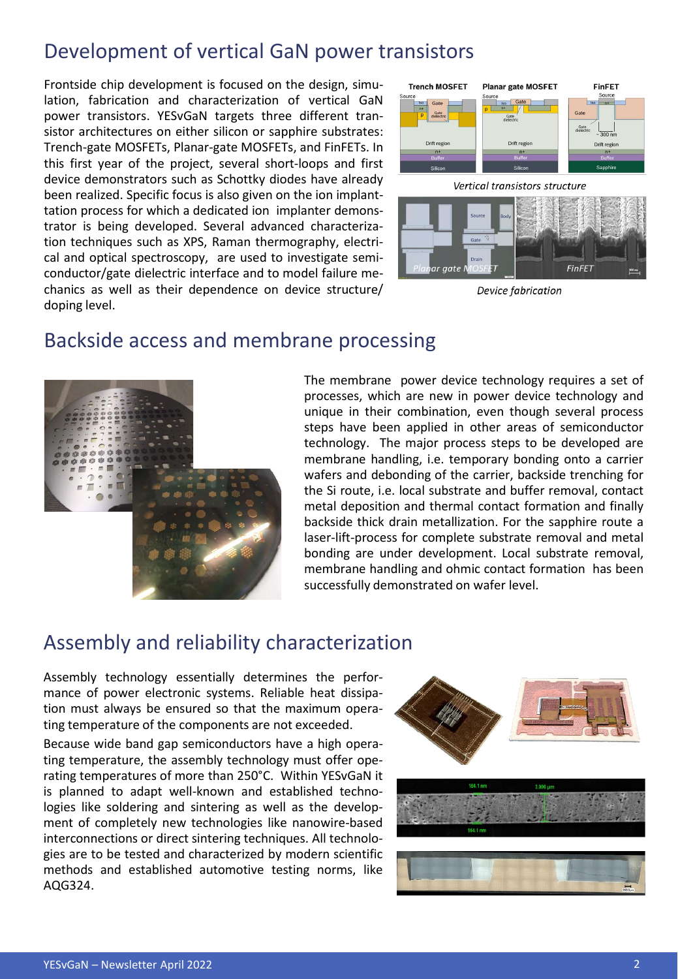#### Development of vertical GaN power transistors

Frontside chip development is focused on the design, simulation, fabrication and characterization of vertical GaN power transistors. YESvGaN targets three different transistor architectures on either silicon or sapphire substrates: Trench-gate MOSFETs, Planar-gate MOSFETs, and FinFETs. In this first year of the project, several short-loops and first device demonstrators such as Schottky diodes have already been realized. Specific focus is also given on the ion implanttation process for which a dedicated ion implanter demonstrator is being developed. Several advanced characterization techniques such as XPS, Raman thermography, electrical and optical spectroscopy, are used to investigate semiconductor/gate dielectric interface and to model failure mechanics as well as their dependence on device structure/ doping level.





Device fabrication

#### Backside access and membrane processing



The membrane power device technology requires a set of processes, which are new in power device technology and unique in their combination, even though several process steps have been applied in other areas of semiconductor technology. The major process steps to be developed are membrane handling, i.e. temporary bonding onto a carrier wafers and debonding of the carrier, backside trenching for the Si route, i.e. local substrate and buffer removal, contact metal deposition and thermal contact formation and finally backside thick drain metallization. For the sapphire route a laser-lift-process for complete substrate removal and metal bonding are under development. Local substrate removal, membrane handling and ohmic contact formation has been successfully demonstrated on wafer level.

#### Assembly and reliability characterization

Assembly technology essentially determines the performance of power electronic systems. Reliable heat dissipation must always be ensured so that the maximum operating temperature of the components are not exceeded.

Because wide band gap semiconductors have a high operating temperature, the assembly technology must offer operating temperatures of more than 250°C. Within YESvGaN it is planned to adapt well-known and established technologies like soldering and sintering as well as the development of completely new technologies like nanowire-based interconnections or direct sintering techniques. All technologies are to be tested and characterized by modern scientific methods and established automotive testing norms, like AQG324.